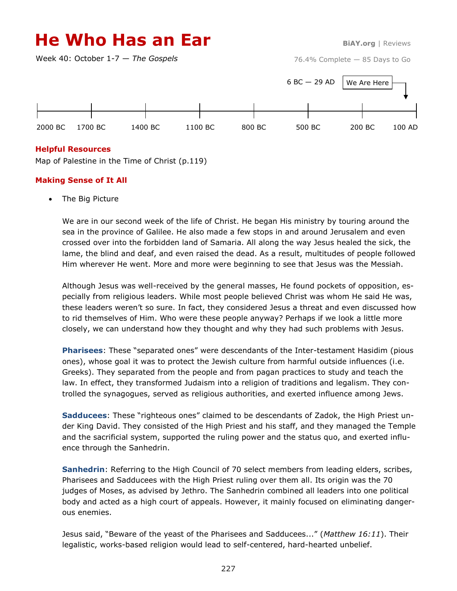# **He Who Has an Ear BiAY.org** | Reviews

Week 40: October 1-7 — *The Gospels*

76.4% Complete — 85 Days to Go



## **Helpful Resources**

Map of Palestine in the Time of Christ (p.119)

## **Making Sense of It All**

The Big Picture

We are in our second week of the life of Christ. He began His ministry by touring around the sea in the province of Galilee. He also made a few stops in and around Jerusalem and even crossed over into the forbidden land of Samaria. All along the way Jesus healed the sick, the lame, the blind and deaf, and even raised the dead. As a result, multitudes of people followed Him wherever He went. More and more were beginning to see that Jesus was the Messiah.

Although Jesus was well-received by the general masses, He found pockets of opposition, especially from religious leaders. While most people believed Christ was whom He said He was, these leaders weren't so sure. In fact, they considered Jesus a threat and even discussed how to rid themselves of Him. Who were these people anyway? Perhaps if we look a little more closely, we can understand how they thought and why they had such problems with Jesus.

**Pharisees**: These "separated ones" were descendants of the Inter-testament Hasidim (pious ones), whose goal it was to protect the Jewish culture from harmful outside influences (i.e. Greeks). They separated from the people and from pagan practices to study and teach the law. In effect, they transformed Judaism into a religion of traditions and legalism. They controlled the synagogues, served as religious authorities, and exerted influence among Jews.

**Sadducees**: These "righteous ones" claimed to be descendants of Zadok, the High Priest under King David. They consisted of the High Priest and his staff, and they managed the Temple and the sacrificial system, supported the ruling power and the status quo, and exerted influence through the Sanhedrin.

**Sanhedrin**: Referring to the High Council of 70 select members from leading elders, scribes, Pharisees and Sadducees with the High Priest ruling over them all. Its origin was the 70 judges of Moses, as advised by Jethro. The Sanhedrin combined all leaders into one political body and acted as a high court of appeals. However, it mainly focused on eliminating dangerous enemies.

Jesus said, "Beware of the yeast of the Pharisees and Sadducees..." (*Matthew 16:11*). Their legalistic, works-based religion would lead to self-centered, hard-hearted unbelief.